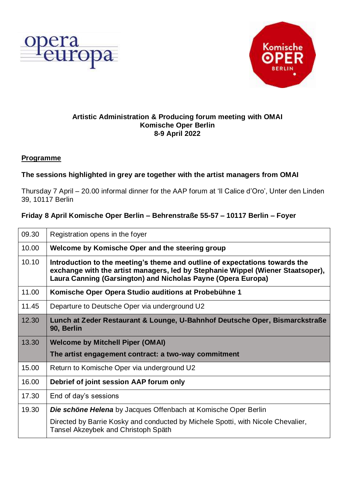



#### **Artistic Administration & Producing forum meeting with OMAI Komische Oper Berlin 8-9 April 2022**

#### **Programme**

## **The sessions highlighted in grey are together with the artist managers from OMAI**

Thursday 7 April – 20.00 informal dinner for the AAP forum at 'Il Calice d'Oro', Unter den Linden 39, 10117 Berlin

## **Friday 8 April Komische Oper Berlin – Behrenstraße 55-57 – 10117 Berlin – Foyer**

| 09.30 | Registration opens in the foyer                                                                                                                                                                                                |
|-------|--------------------------------------------------------------------------------------------------------------------------------------------------------------------------------------------------------------------------------|
| 10.00 | Welcome by Komische Oper and the steering group                                                                                                                                                                                |
| 10.10 | Introduction to the meeting's theme and outline of expectations towards the<br>exchange with the artist managers, led by Stephanie Wippel (Wiener Staatsoper),<br>Laura Canning (Garsington) and Nicholas Payne (Opera Europa) |
| 11.00 | Komische Oper Opera Studio auditions at Probebühne 1                                                                                                                                                                           |
| 11.45 | Departure to Deutsche Oper via underground U2                                                                                                                                                                                  |
| 12.30 | Lunch at Zeder Restaurant & Lounge, U-Bahnhof Deutsche Oper, Bismarckstraße<br>90, Berlin                                                                                                                                      |
| 13.30 | <b>Welcome by Mitchell Piper (OMAI)</b>                                                                                                                                                                                        |
|       | The artist engagement contract: a two-way commitment                                                                                                                                                                           |
| 15.00 | Return to Komische Oper via underground U2                                                                                                                                                                                     |
| 16.00 | Debrief of joint session AAP forum only                                                                                                                                                                                        |
| 17.30 | End of day's sessions                                                                                                                                                                                                          |
| 19.30 | <b>Die schöne Helena</b> by Jacques Offenbach at Komische Oper Berlin                                                                                                                                                          |
|       | Directed by Barrie Kosky and conducted by Michele Spotti, with Nicole Chevalier,<br>Tansel Akzeybek and Christoph Späth                                                                                                        |